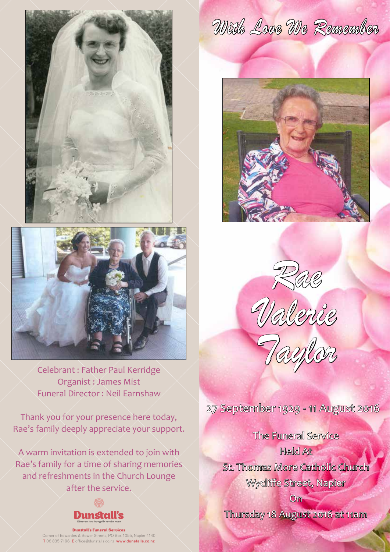



Celebrant : Father Paul Kerridge Organist : James Mist Funeral Director : Neil Earnshaw

Thank you for your presence here today, Rae's family deeply appreciate your support.

A warm invitation is extended to join with Rae's family for a time of sharing memories and refreshments in the Church Lounge after the service.



Dunstall's Funeral Services Corner of Edwardes & Bower Streets, PO Box 1055, Napier 4140 T 06 835 7196 E office@dunstalls.co.nz www.dunstalls.co.nz

*With Love We Remember*









27 September 1929 - 11 August 2016

The Funeral Service Held At St. Thomas More Catholic Church Wycliffe Street, Napier

Thursday 18 August 2016 at 11am

On